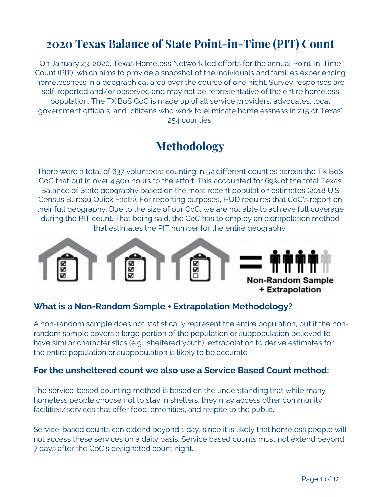#### **2020 Texas Balance of State Point-in-Time (PIT) Count**

On January 23, 2020, Texas Homeless Network led efforts for the annual Point-in-Time Count (PIT), which aims to provide a snapshot of the individuals and families experiencing homelessness in a geographical area over the course of one night. Survey responses are self-reported and/or observed and may not be representative of the entire homeless population. The TX BoS CoC is made up of all service providers, advocates, local government officials, and citizens who work to eliminate homelessness in 215 of Texas' 254 counties.

#### **Methodology**

There were a total of 637 volunteers counting in 52 different counties across the TX BoS CoC that put in over 4,500 hours to the effort. This accounted for 69% of the total Texas Balance of State geography based on the most recent population estimates (2018 U.S Census Bureau Quick Facts). For reporting purposes, HUD requires that CoC's report on their full geography. Due to the size of our CoC, we are not able to achieve full coverage during the PIT count. That being said, the CoC has to employ an extrapolation method that estimates the PIT number for the entire geography.



#### **What is a Non-Random Sample + Extrapolation Methodology?**

A non-random sample does not statistically represent the entire population, but if the nonrandom sample covers a large portion of the population or subpopulation believed to have similar characteristics (e.g., sheltered youth), extrapolation to derive estimates for the entire population or subpopulation is likely to be accurate.

#### **For the unsheltered count we also use a Service Based Count method:**

The service-based counting method is based on the understanding that while many homeless people choose not to stay in shelters, they may access other community facilities/services that offer food, amenities, and respite to the public.

Service-based counts can extend beyond 1 day, since it is likely that homeless people will not access these services on a daily basis. Service based counts must not extend beyond 7 days after the CoC's designated count night.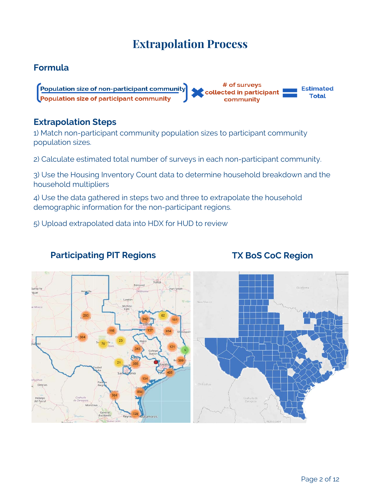#### **Extrapolation Process**

#### **Formula**

# of surveys Population size of non-participant community **Estimated** collected in participant **Total** Population size of participant community community

#### **Extrapolation Steps**

1) Match non-participant community population sizes to participant community population sizes.

2) Calculate estimated total number of surveys in each non-participant community.

3) Use the Housing Inventory Count data to determine household breakdown and the household multipliers

4) Use the data gathered in steps two and three to extrapolate the household demographic information for the non-participant regions.

5) Upload extrapolated data into HDX for HUD to review

# que Delici

#### **Participating PIT Regions TX BoS CoC Region**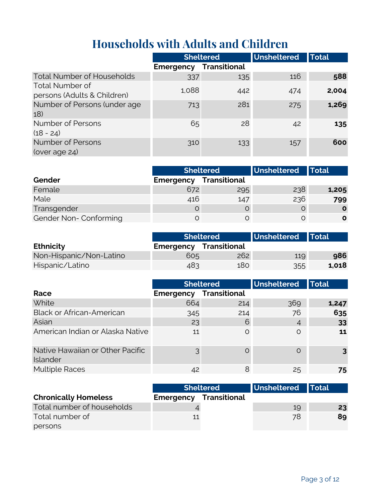#### **Households with Adults and Children**

|                                                       |                  | <b>Sheltered</b>    | Unsheltered | <b>Total</b> |
|-------------------------------------------------------|------------------|---------------------|-------------|--------------|
|                                                       | <b>Emergency</b> | <b>Transitional</b> |             |              |
| <b>Total Number of Households</b>                     | 337              | 135                 | 116         | 588          |
| <b>Total Number of</b><br>persons (Adults & Children) | 1,088            | 442                 | 474         | 2,004        |
| Number of Persons (under age<br>18)                   | 713              | 281                 | 275         | 1,269        |
| Number of Persons<br>$(18 - 24)$                      | 65               | 28                  | 42          | 135          |
| <b>Number of Persons</b><br>(over age 24)             | 310              | 133                 | 157         | 600          |

|                       | Sheltered        |                     | <b>Unsheltered</b> | <b>Total</b> |
|-----------------------|------------------|---------------------|--------------------|--------------|
| Gender                | <b>Emergency</b> | <b>Transitional</b> |                    |              |
| Female                | 672              | 295                 | 238                | 1,205        |
| Male                  | 416              | 147                 | 236                | 799          |
| Transgender           |                  |                     |                    | $\mathbf{o}$ |
| Gender Non-Conforming |                  |                     |                    | $\mathbf{o}$ |

|                         | <b>Sheltered</b>              |     | Unsheltered Total |       |
|-------------------------|-------------------------------|-----|-------------------|-------|
| <b>Ethnicity</b>        | <b>Emergency Transitional</b> |     |                   |       |
| Non-Hispanic/Non-Latino | 605                           | 262 | 119               | 986   |
| Hispanic/Latino         | 483                           | 180 | 355               | 1,018 |

|                                              |                               | <b>Sheltered</b> | Unsheltered    | <b>Total</b> |
|----------------------------------------------|-------------------------------|------------------|----------------|--------------|
| Race                                         | <b>Emergency Transitional</b> |                  |                |              |
| White                                        | 664                           | 214              | 369            | 1,247        |
| <b>Black or African-American</b>             | 345                           | 214              | 76             | 635          |
| Asian                                        | 23                            | 6                | $\overline{A}$ | 33           |
| American Indian or Alaska Native             | 11                            | $\circ$          | $\Omega$       | 11           |
| Native Hawaiian or Other Pacific<br>Islander | 3                             | O                | $\Omega$       |              |
| <b>Multiple Races</b>                        | 42                            | 8                | 25             | 75           |

|                             | <b>Sheltered</b>              |  | Unsheltered Total |    |  |
|-----------------------------|-------------------------------|--|-------------------|----|--|
| <b>Chronically Homeless</b> | <b>Emergency Transitional</b> |  |                   |    |  |
| Total number of households  |                               |  | 19                | 23 |  |
| Total number of             | 11                            |  | 78                | 89 |  |
| persons                     |                               |  |                   |    |  |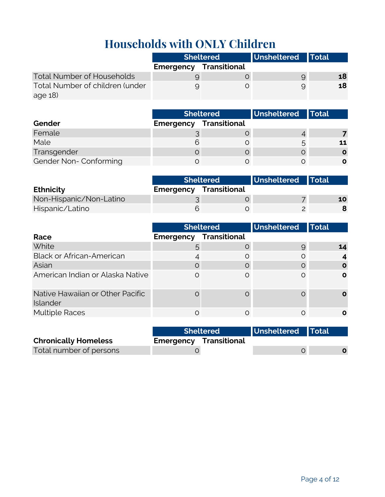# **Households with ONLY Children**

|                                   | <b>Sheltered</b>              |  | Unsheltered Total |    |
|-----------------------------------|-------------------------------|--|-------------------|----|
|                                   | <b>Emergency Transitional</b> |  |                   |    |
| <b>Total Number of Households</b> |                               |  |                   | 18 |
| Total Number of children (under   |                               |  | 9                 | 18 |
| age $18$ )                        |                               |  |                   |    |

|                       | <b>Sheltered</b> |                     | Unsheltered   Total |    |
|-----------------------|------------------|---------------------|---------------------|----|
| Gender                | <b>Emergency</b> | <b>Transitional</b> |                     |    |
| Female                |                  |                     |                     |    |
| Male                  |                  |                     | 5                   | 11 |
| Transgender           |                  |                     |                     | O  |
| Gender Non-Conforming |                  |                     |                     |    |

|                         | <b>Sheltered</b>              |  | Unsheltered Total |    |
|-------------------------|-------------------------------|--|-------------------|----|
| <b>Ethnicity</b>        | <b>Emergency Transitional</b> |  |                   |    |
| Non-Hispanic/Non-Latino |                               |  |                   | 10 |
| Hispanic/Latino         |                               |  |                   |    |

|                                              | <b>Sheltered</b> |                     | Unsheltered | <b>Total</b> |
|----------------------------------------------|------------------|---------------------|-------------|--------------|
| Race                                         | <b>Emergency</b> | <b>Transitional</b> |             |              |
| White                                        | $\mathcal{L}$    | C                   | 9           | 14           |
| <b>Black or African-American</b>             |                  | O                   | O           |              |
| Asian                                        | $\Omega$         | C                   |             | $\Omega$     |
| American Indian or Alaska Native             |                  | $\Omega$            | $\Omega$    | $\mathbf o$  |
| Native Hawaiian or Other Pacific<br>Islander |                  | C                   |             |              |
| <b>Multiple Races</b>                        | ∩                | O                   |             | O            |

|                             | <b>Sheltered</b> |                               | Unsheltered Total |  |
|-----------------------------|------------------|-------------------------------|-------------------|--|
| <b>Chronically Homeless</b> |                  | <b>Emergency Transitional</b> |                   |  |
| Total number of persons     |                  |                               |                   |  |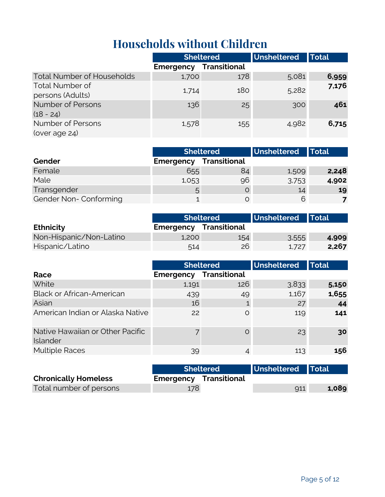### **Households without Children**

|                                            | <b>Sheltered</b> |                     | Unsheltered | <b>Total</b> |
|--------------------------------------------|------------------|---------------------|-------------|--------------|
|                                            | <b>Emergency</b> | <b>Transitional</b> |             |              |
| <b>Total Number of Households</b>          | 1,700            | 178                 | 5,081       | 6,959        |
| <b>Total Number of</b><br>persons (Adults) | 1,714            | 180                 | 5,282       | 7,176        |
| <b>Number of Persons</b><br>$(18 - 24)$    | 136              | 25                  | 300         | 461          |
| Number of Persons<br>(over age 24)         | 1,578            | 155                 | 4,982       | 6,715        |

|                       | <b>Sheltered</b> |                     | <b>Unsheltered</b> | <b>Total</b> |
|-----------------------|------------------|---------------------|--------------------|--------------|
| Gender                | <b>Emergency</b> | <b>Transitional</b> |                    |              |
| Female                | 655              | 84                  | 1,509              | 2,248        |
| Male                  | 1,053            | 96                  | 3,753              | 4,902        |
| Transgender           | 5                |                     | 14                 | 19           |
| Gender Non-Conforming |                  |                     | 6                  |              |

|                         | <b>Sheltered</b>              |     | Unsheltered Total |       |
|-------------------------|-------------------------------|-----|-------------------|-------|
| <b>Ethnicity</b>        | <b>Emergency Transitional</b> |     |                   |       |
| Non-Hispanic/Non-Latino | 1.200                         | 154 | 3,555             | 4,909 |
| Hispanic/Latino         | 514                           | 26  | 1,727             | 2,267 |

|                                              | <b>Sheltered</b> |                     | Unsheltered | Total |
|----------------------------------------------|------------------|---------------------|-------------|-------|
| Race                                         | <b>Emergency</b> | <b>Transitional</b> |             |       |
| White                                        | 1,191            | 126                 | 3,833       | 5,150 |
| <b>Black or African-American</b>             | 439              | 49                  | 1,167       | 1,655 |
| Asian                                        | 16               |                     | 27          | 44    |
| American Indian or Alaska Native             | 22               | $\circ$             | 119         | 141   |
| Native Hawaiian or Other Pacific<br>Islander | $\overline{7}$   | $\Omega$            | 23          | 30    |
| <b>Multiple Races</b>                        | 39               | 4                   | 113         | 156   |

|                             | <b>Sheltered</b> |                               | Unsheltered Total |       |
|-----------------------------|------------------|-------------------------------|-------------------|-------|
| <b>Chronically Homeless</b> |                  | <b>Emergency Transitional</b> |                   |       |
| Total number of persons     | 178              |                               | 911               | 1,089 |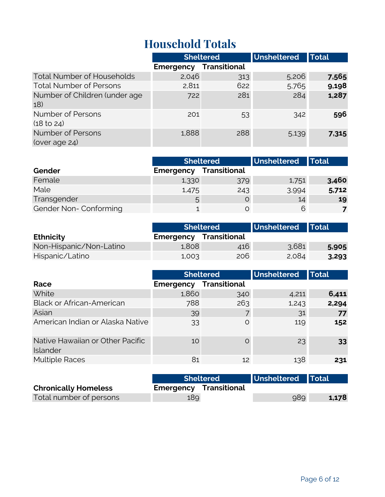#### **Household Totals**

|                                             | <b>Sheltered</b> |              | <b>Unsheltered</b> | <b>Total</b> |
|---------------------------------------------|------------------|--------------|--------------------|--------------|
|                                             | <b>Emergency</b> | Transitional |                    |              |
| <b>Total Number of Households</b>           | 2,046            | 313          | 5,206              | 7,565        |
| <b>Total Number of Persons</b>              | 2,811            | 622          | 5,765              | 9,198        |
| Number of Children (under age<br>18)        | 722              | 281          | 284                | 1,287        |
| Number of Persons<br>(18 <sub>to 24</sub> ) | 201              | 53           | 342                | 596          |
| <b>Number of Persons</b><br>(over age 24)   | 1,888            | 288          | 5,139              | 7,315        |

|                       |                  | <b>Sheltered</b>    | <b>Unsheltered</b> | <b>Total</b> |
|-----------------------|------------------|---------------------|--------------------|--------------|
| Gender                | <b>Emergency</b> | <b>Transitional</b> |                    |              |
| Female                | 1,330            | 379                 | 1,751              | 3,460        |
| Male                  | 1,475            | 243                 | 3,994              | 5,712        |
| Transgender           | 5                |                     | 14                 | 19           |
| Gender Non-Conforming |                  |                     | 6                  |              |

|                         |                               | <b>Sheltered</b> | Unsheltered Total |       |
|-------------------------|-------------------------------|------------------|-------------------|-------|
| <b>Ethnicity</b>        | <b>Emergency Transitional</b> |                  |                   |       |
| Non-Hispanic/Non-Latino | 1.808                         | 416              | 3,681             | 5,905 |
| Hispanic/Latino         | 1,003                         | 206              | 2,084             | 3,293 |

|                                              |                  | <b>Sheltered</b>    | Unsheltered | <b>Total</b>    |
|----------------------------------------------|------------------|---------------------|-------------|-----------------|
| Race                                         | <b>Emergency</b> | <b>Transitional</b> |             |                 |
| White                                        | 1,860            | 340                 | 4,211       | 6,411           |
| <b>Black or African-American</b>             | 788              | 263                 | 1,243       | 2,294           |
| Asian                                        | 39               |                     | 31          | 77              |
| American Indian or Alaska Native             | 33               | $\circ$             | 119         | 152             |
| Native Hawaiian or Other Pacific<br>Islander | 10               | $\Omega$            | 23          | 33 <sup>2</sup> |
| <b>Multiple Races</b>                        | 81               | 12                  | 138         | 231             |

|                             | <b>Sheltered</b>              |  | Unsheltered Total |       |
|-----------------------------|-------------------------------|--|-------------------|-------|
| <b>Chronically Homeless</b> | <b>Emergency Transitional</b> |  |                   |       |
| Total number of persons     | 189                           |  | 989               | 1,178 |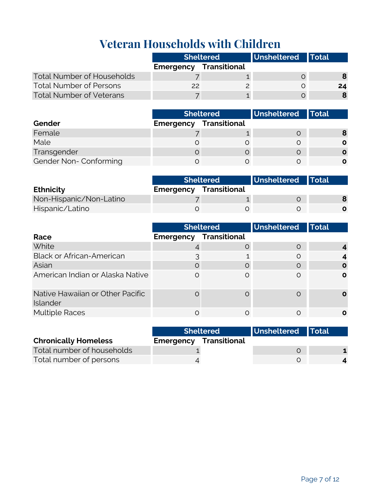# **Veteran Households with Children**

|                                   | <b>Sheltered</b>              |  | Unsheltered Total |    |
|-----------------------------------|-------------------------------|--|-------------------|----|
|                                   | <b>Emergency Transitional</b> |  |                   |    |
| <b>Total Number of Households</b> |                               |  |                   |    |
| <b>Total Number of Persons</b>    | 22                            |  |                   | 24 |
| <b>Total Number of Veterans</b>   |                               |  |                   |    |

|                       | <b>Sheltered</b> |              | Unsheltered   Total |              |
|-----------------------|------------------|--------------|---------------------|--------------|
| Gender                | <b>Emergency</b> | Transitional |                     |              |
| Female                |                  |              |                     | 8            |
| Male                  |                  |              |                     | $\mathbf{o}$ |
| Transgender           |                  |              |                     | $\mathbf{o}$ |
| Gender Non-Conforming |                  |              |                     | O            |

|                         | <b>Sheltered</b>              |  | Unsheltered Total |  |
|-------------------------|-------------------------------|--|-------------------|--|
| <b>Ethnicity</b>        | <b>Emergency Transitional</b> |  |                   |  |
| Non-Hispanic/Non-Latino |                               |  |                   |  |
| Hispanic/Latino         |                               |  |                   |  |

|                                              | <b>Sheltered</b> |                     | Unsheltered | <b>Total</b> |
|----------------------------------------------|------------------|---------------------|-------------|--------------|
| Race                                         | <b>Emergency</b> | <b>Transitional</b> |             |              |
| White                                        |                  | O                   | $\Omega$    |              |
| <b>Black or African-American</b>             |                  |                     | $\Omega$    |              |
| Asian                                        | $\Omega$         | O                   | $\Omega$    | O            |
| American Indian or Alaska Native             | $\Omega$         | $\Omega$            | ∩           | $\mathbf o$  |
| Native Hawaiian or Other Pacific<br>Islander |                  | $\Omega$            | ∩           |              |
| <b>Multiple Races</b>                        |                  |                     |             |              |

|                             | <b>Sheltered</b> |                               | Unsheltered Total |  |
|-----------------------------|------------------|-------------------------------|-------------------|--|
| <b>Chronically Homeless</b> |                  | <b>Emergency Transitional</b> |                   |  |
| Total number of households  |                  |                               |                   |  |
| Total number of persons     |                  |                               |                   |  |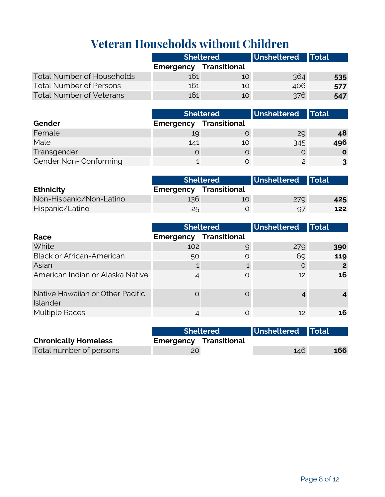## **Veteran Households without Children**

|                                   | <b>Sheltered</b>              |    | Unsheltered Total |     |
|-----------------------------------|-------------------------------|----|-------------------|-----|
|                                   | <b>Emergency Transitional</b> |    |                   |     |
| <b>Total Number of Households</b> | 161                           | 10 | 364               | 535 |
| Total Number of Persons           | 161                           | 10 | 406               | 577 |
| <b>Total Number of Veterans</b>   | 161                           | 10 | 376               | 547 |

|                       | <b>Sheltered</b> |                     | Unsheltered Total |              |
|-----------------------|------------------|---------------------|-------------------|--------------|
| Gender                | Emergency        | <b>Transitional</b> |                   |              |
| Female                | 19               |                     | 29                | 48           |
| Male                  | 141              | 10                  | 345               | 496          |
| Transgender           |                  |                     |                   | $\mathbf{o}$ |
| Gender Non-Conforming |                  |                     |                   | 3            |

|                         | <b>Sheltered</b>              |    | Unsheltered Total |     |
|-------------------------|-------------------------------|----|-------------------|-----|
| <b>Ethnicity</b>        | <b>Emergency Transitional</b> |    |                   |     |
| Non-Hispanic/Non-Latino | $136^\circ$                   | 10 | 279               | 425 |
| Hispanic/Latino         | 25                            |    | 97                | 122 |

|                                              |                  | Unsheltered<br><b>Sheltered</b> |     | <b>Total</b> |
|----------------------------------------------|------------------|---------------------------------|-----|--------------|
| Race                                         | <b>Emergency</b> | <b>Transitional</b>             |     |              |
| White                                        | 102              | 9                               | 279 | 390          |
| <b>Black or African-American</b>             | 50               | O                               | 69  | 119          |
| Asian                                        |                  |                                 | O   | 2            |
| American Indian or Alaska Native             |                  | $\Omega$                        | 12  | 16           |
| Native Hawaiian or Other Pacific<br>Islander |                  | $\Omega$                        |     |              |
| <b>Multiple Races</b>                        |                  | $\circ$                         | 12  | 16           |

|                             | <b>Sheltered</b> |                               | Unsheltered Total |     |
|-----------------------------|------------------|-------------------------------|-------------------|-----|
| <b>Chronically Homeless</b> |                  | <b>Emergency Transitional</b> |                   |     |
| Total number of persons     |                  |                               | 146               | 166 |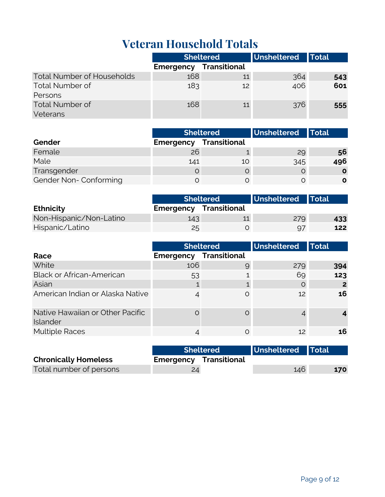# **Veteran Household Totals**

|                                   | <b>Sheltered</b> |                     | Unsheltered | <b>Total</b> |
|-----------------------------------|------------------|---------------------|-------------|--------------|
|                                   | Emergency        | <b>Transitional</b> |             |              |
| <b>Total Number of Households</b> | 168              | 11                  | 364         | 543          |
| <b>Total Number of</b>            | 183              | 12                  | 406         | 601          |
| Persons                           |                  |                     |             |              |
| <b>Total Number of</b>            | 168              | 11                  | 376         | 555          |
| Veterans                          |                  |                     |             |              |

|                       | <b>Sheltered</b> |                     | Unsheltered Total |              |
|-----------------------|------------------|---------------------|-------------------|--------------|
| Gender                | <b>Emergency</b> | <b>Transitional</b> |                   |              |
| Female                | 26               |                     | 29                | 56           |
| Male                  | 141              | 10                  | 345               | 496          |
| Transgender           |                  |                     |                   | $\mathbf{o}$ |
| Gender Non-Conforming |                  |                     |                   | O            |

|                         | <b>Sheltered</b>              |  | Unsheltered Total |     |
|-------------------------|-------------------------------|--|-------------------|-----|
| <b>Ethnicity</b>        | <b>Emergency Transitional</b> |  |                   |     |
| Non-Hispanic/Non-Latino | 143.                          |  | 279               | 433 |
| Hispanic/Latino         | 25                            |  | 97                | 122 |

|                                              |                               | Unsheltered<br><b>Sheltered</b> |         | <b>Total</b> |
|----------------------------------------------|-------------------------------|---------------------------------|---------|--------------|
| Race                                         | <b>Emergency Transitional</b> |                                 |         |              |
| White                                        | 106                           | 9                               | 279     | 394          |
| <b>Black or African-American</b>             | 53                            |                                 | 69      | 123          |
| Asian                                        |                               |                                 | $\circ$ | $\mathbf{2}$ |
| American Indian or Alaska Native             |                               | $\Omega$                        | 12      | 16           |
| Native Hawaiian or Other Pacific<br>Islander |                               | $\Omega$                        |         |              |
| <b>Multiple Races</b>                        |                               | $\Omega$                        | 12      | 16           |

|                             | <b>Sheltered</b> |                               | Unsheltered Total |     |
|-----------------------------|------------------|-------------------------------|-------------------|-----|
| <b>Chronically Homeless</b> |                  | <b>Emergency Transitional</b> |                   |     |
| Total number of persons     | 24               |                               | 146               | 170 |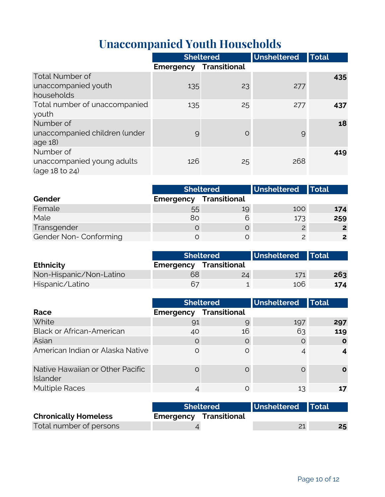# **Unaccompanied Youth Households**

|                                  |                  | <b>Sheltered</b>    | <b>Unsheltered</b> | <b>Total</b> |
|----------------------------------|------------------|---------------------|--------------------|--------------|
|                                  | <b>Emergency</b> | <b>Transitional</b> |                    |              |
| <b>Total Number of</b>           |                  |                     |                    | 435          |
| unaccompanied youth              | 135              | 23                  | 277                |              |
| households                       |                  |                     |                    |              |
| Total number of unaccompanied    | 135              | 25                  | 277                | 437          |
| youth                            |                  |                     |                    |              |
| Number of                        |                  |                     |                    | 18           |
| unaccompanied children (under    | 9                | O                   | 9                  |              |
| age $18$                         |                  |                     |                    |              |
| Number of                        |                  |                     |                    | 419          |
| unaccompanied young adults       | 126              | 25                  | 268                |              |
| $(\text{age }18 \text{ to } 24)$ |                  |                     |                    |              |

|                       | <b>Sheltered</b> |                     | Unsheltered Total |                |
|-----------------------|------------------|---------------------|-------------------|----------------|
| Gender                | Emergency        | <b>Transitional</b> |                   |                |
| Female                | 55               | 19                  | 100               | 174            |
| Male                  | 80               |                     | 173               | 259            |
| Transgender           |                  |                     | $\overline{2}$    | $\overline{2}$ |
| Gender Non-Conforming |                  |                     |                   | $2^{\circ}$    |

|                         | <b>Sheltered</b>              |    | Unsheltered Total |     |
|-------------------------|-------------------------------|----|-------------------|-----|
| <b>Ethnicity</b>        | <b>Emergency Transitional</b> |    |                   |     |
| Non-Hispanic/Non-Latino | 68                            | 24 | 171               | 263 |
| Hispanic/Latino         | 67                            |    | 106               | 174 |

|                                              | <b>Sheltered</b> |              | Unsheltered | <b>Total</b> |
|----------------------------------------------|------------------|--------------|-------------|--------------|
| Race                                         | <b>Emergency</b> | Transitional |             |              |
| White                                        | 91               | 9            | 197         | 297          |
| <b>Black or African-American</b>             | 40               | 16           | 63          | 119          |
| Asian                                        | $\Omega$         | O            | O           | O            |
| American Indian or Alaska Native             |                  | $\circ$      |             |              |
| Native Hawaiian or Other Pacific<br>Islander |                  | C            |             |              |
| <b>Multiple Races</b>                        |                  | $\Omega$     | 13          |              |

|                             | <b>Sheltered</b> |                               | Unsheltered Total |    |
|-----------------------------|------------------|-------------------------------|-------------------|----|
| <b>Chronically Homeless</b> |                  | <b>Emergency Transitional</b> |                   |    |
| Total number of persons     |                  |                               |                   | 25 |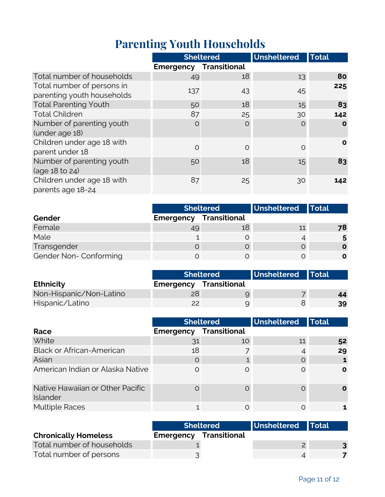# **Parenting Youth Households**

|                                                               |                               | <b>Sheltered</b> | Unsheltered | <b>Total</b> |
|---------------------------------------------------------------|-------------------------------|------------------|-------------|--------------|
|                                                               | <b>Emergency Transitional</b> |                  |             |              |
| Total number of households                                    | 49                            | 18               | 13          | 80           |
| Total number of persons in<br>parenting youth households      | 137                           | 43               | 45          | 225          |
| <b>Total Parenting Youth</b>                                  | 50                            | 18               | 15          | 83           |
| <b>Total Children</b>                                         | 87                            | 25               | 30          | 142          |
| Number of parenting youth<br>(under age 18)                   | $\Omega$                      | $\circ$          | $\circ$     | $\mathbf{o}$ |
| Children under age 18 with<br>parent under 18                 | $\Omega$                      | $\circ$          | $\circ$     | $\mathbf{o}$ |
| Number of parenting youth<br>$(\text{age }18 \text{ to } 24)$ | 50                            | 18               | 15          | 83           |
| Children under age 18 with<br>parents age 18-24               | 87                            | 25               | 30          | 142          |

|                       | <b>Sheltered</b>              |    | Unsheltered Total |    |
|-----------------------|-------------------------------|----|-------------------|----|
| Gender                | <b>Emergency Transitional</b> |    |                   |    |
| Female                | 49                            | 18 | 11                | 78 |
| Male                  |                               |    |                   |    |
| Transgender           |                               |    |                   |    |
| Gender Non-Conforming |                               |    |                   |    |

|                         |                               | <b>Sheltered</b> | Unsheltered Total |    |
|-------------------------|-------------------------------|------------------|-------------------|----|
| <b>Ethnicity</b>        | <b>Emergency Transitional</b> |                  |                   |    |
| Non-Hispanic/Non-Latino |                               |                  |                   | 44 |
| Hispanic/Latino         | つつ                            |                  |                   | 39 |

|                                              |           | <b>Unsheltered</b><br><b>Sheltered</b> |    | <b>Total</b> |
|----------------------------------------------|-----------|----------------------------------------|----|--------------|
| Race                                         | Emergency | <b>Transitional</b>                    |    |              |
| White                                        | 31        | 10                                     | 11 | 52           |
| <b>Black or African-American</b>             | 18        |                                        |    | 29           |
| Asian                                        | $\Omega$  |                                        |    |              |
| American Indian or Alaska Native             | ∩         | ∩                                      | ∩  | $\Omega$     |
| Native Hawaiian or Other Pacific<br>Islander |           |                                        |    | O            |
| <b>Multiple Races</b>                        |           |                                        |    |              |

|                             | <b>Sheltered</b>              |  | Unsheltered Total |  |
|-----------------------------|-------------------------------|--|-------------------|--|
| <b>Chronically Homeless</b> | <b>Emergency Transitional</b> |  |                   |  |
| Total number of households  |                               |  |                   |  |
| Total number of persons     |                               |  |                   |  |